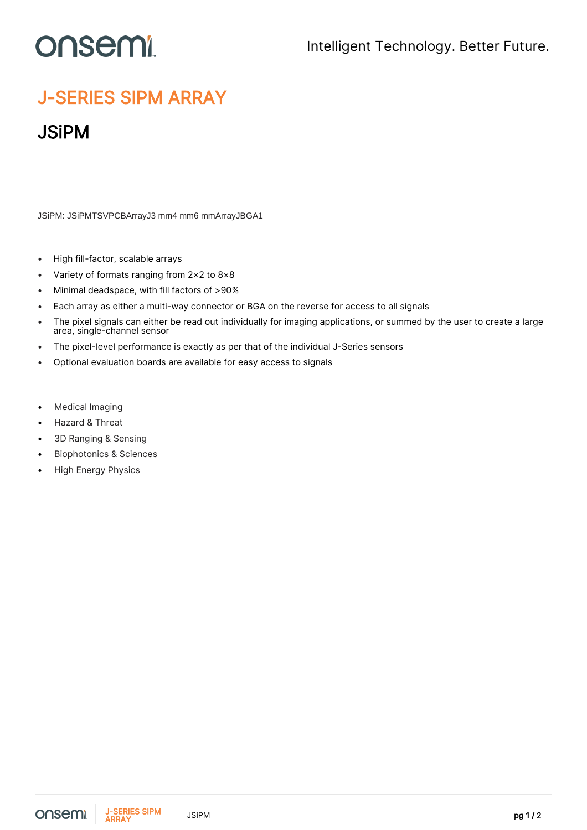## **onsemi**

## J-SERIES SIPM ARRAY

## **JSiPM**

JSiPM: JSiPMTSVPCBArrayJ3 mm4 mm6 mmArrayJBGA1

- High fill-factor, scalable arrays
- Variety of formats ranging from 2×2 to 8×8
- Minimal deadspace, with fill factors of >90%
- Each array as either a multi-way connector or BGA on the reverse for access to all signals
- The pixel signals can either be read out individually for imaging applications, or summed by the user to create a large area, single-channel sensor
- The pixel-level performance is exactly as per that of the individual J-Series sensors
- Optional evaluation boards are available for easy access to signals
- **Medical Imaging**
- Hazard & Threat
- 3D Ranging & Sensing
- Biophotonics & Sciences
- High Energy Physics